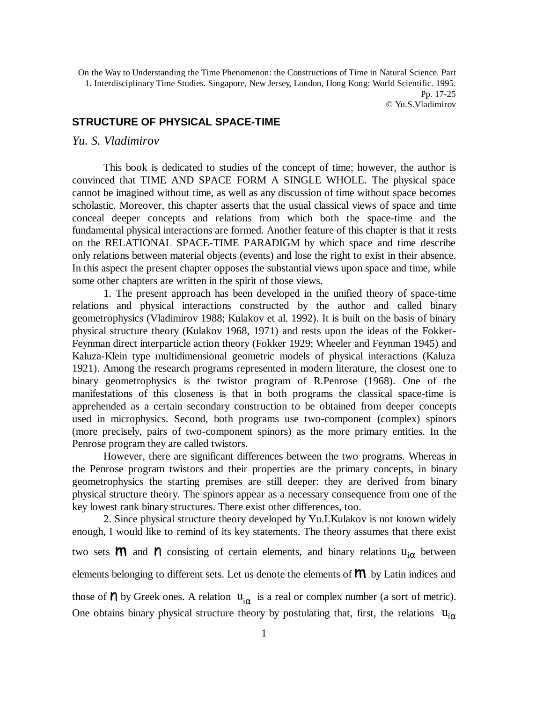On the Way to Understanding the Time Phenomenon: the Constructions of Time in Natural Science. Part 1. Interdisciplinary Time Studies. Singapore, New Jersey, London, Hong Kong: World Scientific. 1995. Pp. 17-25 © Yu.S.Vladimirov

## **STRUCTURE OF PHYSICAL SPACE-TIME**

## *Yu. S. Vladimirov*

This book is dedicated to studies of the concept of time; however, the author is convinced that TIME AND SPACE FORM A SINGLE WHOLE. The physical space cannot be imagined without time, as well as any discussion of time without space becomes scholastic. Moreover, this chapter asserts that the usual classical views of space and time conceal deeper concepts and relations from which both the space-time and the fundamental physical interactions are formed. Another feature of this chapter is that it rests on the RELATIONAL SPACE-TIME PARADIGM by which space and time describe only relations between material objects (events) and lose the right to exist in their absence. In this aspect the present chapter opposes the substantial views upon space and time, while some other chapters are written in the spirit of those views.

1. The present approach has been developed in the unified theory of space-time relations and physical interactions constructed by the author and called binary geometrophysics (Vladimirov 1988; Kulakov et al. 1992). It is built on the basis of binary physical structure theory (Kulakov 1968, 1971) and rests upon the ideas of the Fokker-Feynman direct interparticle action theory (Fokker 1929; Wheeler and Feynman 1945) and Kaluza-Klein type multidimensional geometric models of physical interactions (Kaluza 1921). Among the research programs represented in modern literature, the closest one to binary geometrophysics is the twistor program of R.Penrose (1968). One of the manifestations of this closeness is that in both programs the classical space-time is apprehended as a certain secondary construction to be obtained from deeper concepts used in microphysics. Second, both programs use two-component (complex) spinors (more precisely, pairs of two-component spinors) as the more primary entities. In the Penrose program they are called twistors.

However, there are significant differences between the two programs. Whereas in the Penrose program twistors and their properties are the primary concepts, in binary geometrophysics the starting premises are still deeper: they are derived from binary physical structure theory. The spinors appear as a necessary consequence from one of the key lowest rank binary structures. There exist other differences, too.

2. Since physical structure theory developed by Yu.I.Kulakov is not known widely enough, I would like to remind of its key statements. The theory assumes that there exist two sets  $M$  and  $N$  consisting of certain elements, and binary relations  $u_{i\alpha}$  between

elements belonging to different sets. Let us denote the elements of  *by Latin indices and* 

those of  $\boldsymbol{\mathsf{\Lambda}}$  by Greek ones. A relation  $u_{i\alpha}$  is a real or complex number (a sort of metric). One obtains binary physical structure theory by postulating that, first, the relations  $u_{i\alpha}$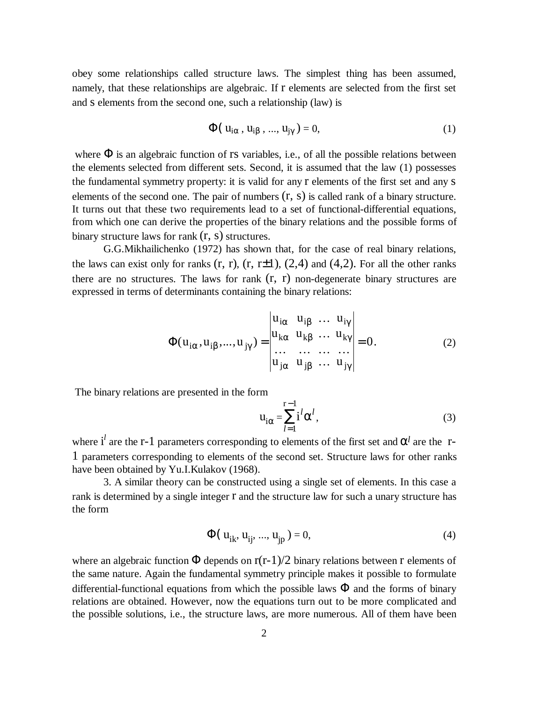obey some relationships called structure laws. The simplest thing has been assumed, namely, that these relationships are algebraic. If r elements are selected from the first set and s elements from the second one, such a relationship (law) is

$$
\Phi(\mathbf{u}_{i\alpha}, \mathbf{u}_{i\beta}, ..., \mathbf{u}_{j\gamma}) = 0,\tag{1}
$$

where  $\Phi$  is an algebraic function of rs variables, i.e., of all the possible relations between the elements selected from different sets. Second, it is assumed that the law (1) possesses the fundamental symmetry property: it is valid for any r elements of the first set and any s elements of the second one. The pair of numbers  $(r, s)$  is called rank of a binary structure. It turns out that these two requirements lead to a set of functional-differential equations, from which one can derive the properties of the binary relations and the possible forms of binary structure laws for rank  $(r, s)$  structures.

G.G.Mikhailichenko (1972) has shown that, for the case of real binary relations, the laws can exist only for ranks  $(r, r)$ ,  $(r, r\pm 1)$ ,  $(2, 4)$  and  $(4, 2)$ . For all the other ranks there are no structures. The laws for rank  $(r, r)$  non-degenerate binary structures are expressed in terms of determinants containing the binary relations:

$$
\Phi(\mathbf{u}_{i\alpha}, \mathbf{u}_{i\beta}, \dots, \mathbf{u}_{j\gamma}) = \begin{vmatrix} \mathbf{u}_{i\alpha} & \mathbf{u}_{i\beta} & \dots & \mathbf{u}_{i\gamma} \\ \mathbf{u}_{k\alpha} & \mathbf{u}_{k\beta} & \dots & \mathbf{u}_{k\gamma} \\ \dots & \dots & \dots & \dots \\ \mathbf{u}_{j\alpha} & \mathbf{u}_{j\beta} & \dots & \mathbf{u}_{j\gamma} \end{vmatrix} = 0.
$$
 (2)

The binary relations are presented in the form

$$
u_{i\alpha} = \sum_{l=1}^{r-1} i^l \alpha^l,
$$
 (3)

where  $i^l$  are the r-1 parameters corresponding to elements of the first set and  $\alpha^l$  are the r-1 parameters corresponding to elements of the second set. Structure laws for other ranks have been obtained by Yu.I.Kulakov (1968).

3. A similar theory can be constructed using a single set of elements. In this case a rank is determined by a single integer r and the structure law for such a unary structure has the form

$$
\Phi(\mathbf{u}_{ik}, \mathbf{u}_{ij}, ..., \mathbf{u}_{jp}) = 0,\tag{4}
$$

where an algebraic function  $\Phi$  depends on  $r(r-1)/2$  binary relations between r elements of the same nature. Again the fundamental symmetry principle makes it possible to formulate differential-functional equations from which the possible laws  $\Phi$  and the forms of binary relations are obtained. However, now the equations turn out to be more complicated and the possible solutions, i.e., the structure laws, are more numerous. All of them have been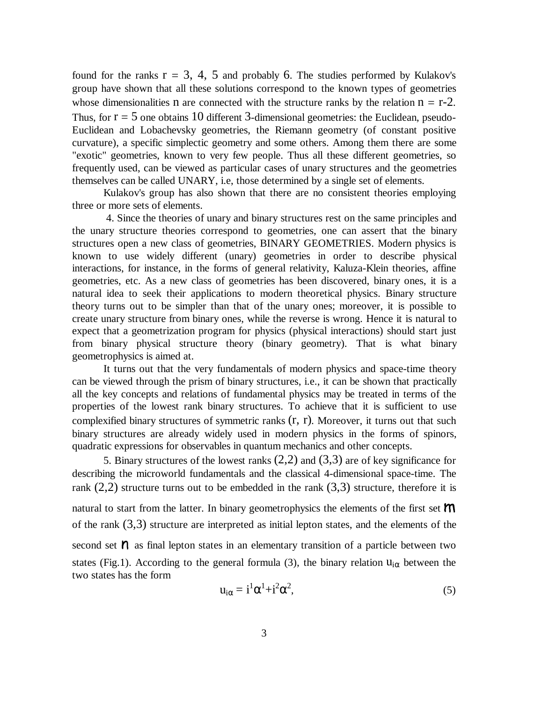found for the ranks  $r = 3, 4, 5$  and probably 6. The studies performed by Kulakov's group have shown that all these solutions correspond to the known types of geometries whose dimensionalities n are connected with the structure ranks by the relation  $n = r-2$ . Thus, for  $r = 5$  one obtains 10 different 3-dimensional geometries: the Euclidean, pseudo-Euclidean and Lobachevsky geometries, the Riemann geometry (of constant positive curvature), a specific simplectic geometry and some others. Among them there are some "exotic" geometries, known to very few people. Thus all these different geometries, so frequently used, can be viewed as particular cases of unary structures and the geometries themselves can be called UNARY, i.e, those determined by a single set of elements.

Kulakov's group has also shown that there are no consistent theories employing three or more sets of elements.

 4. Since the theories of unary and binary structures rest on the same principles and the unary structure theories correspond to geometries, one can assert that the binary structures open a new class of geometries, BINARY GEOMETRIES. Modern physics is known to use widely different (unary) geometries in order to describe physical interactions, for instance, in the forms of general relativity, Kaluza-Klein theories, affine geometries, etc. As a new class of geometries has been discovered, binary ones, it is a natural idea to seek their applications to modern theoretical physics. Binary structure theory turns out to be simpler than that of the unary ones; moreover, it is possible to create unary structure from binary ones, while the reverse is wrong. Hence it is natural to expect that a geometrization program for physics (physical interactions) should start just from binary physical structure theory (binary geometry). That is what binary geometrophysics is aimed at.

It turns out that the very fundamentals of modern physics and space-time theory can be viewed through the prism of binary structures, i.e., it can be shown that practically all the key concepts and relations of fundamental physics may be treated in terms of the properties of the lowest rank binary structures. To achieve that it is sufficient to use complexified binary structures of symmetric ranks (r, r). Moreover, it turns out that such binary structures are already widely used in modern physics in the forms of spinors, quadratic expressions for observables in quantum mechanics and other concepts.

5. Binary structures of the lowest ranks  $(2,2)$  and  $(3,3)$  are of key significance for describing the microworld fundamentals and the classical 4-dimensional space-time. The rank  $(2,2)$  structure turns out to be embedded in the rank  $(3,3)$  structure, therefore it is natural to start from the latter. In binary geometrophysics the elements of the first set  $\mathsf{m}$ of the rank  $(3,3)$  structure are interpreted as initial lepton states, and the elements of the second set  $\eta$  as final lepton states in an elementary transition of a particle between two states (Fig.1). According to the general formula (3), the binary relation  $u_{i\alpha}$  between the two states has the form

$$
u_{i\alpha} = i^1 \alpha^1 + i^2 \alpha^2, \qquad (5)
$$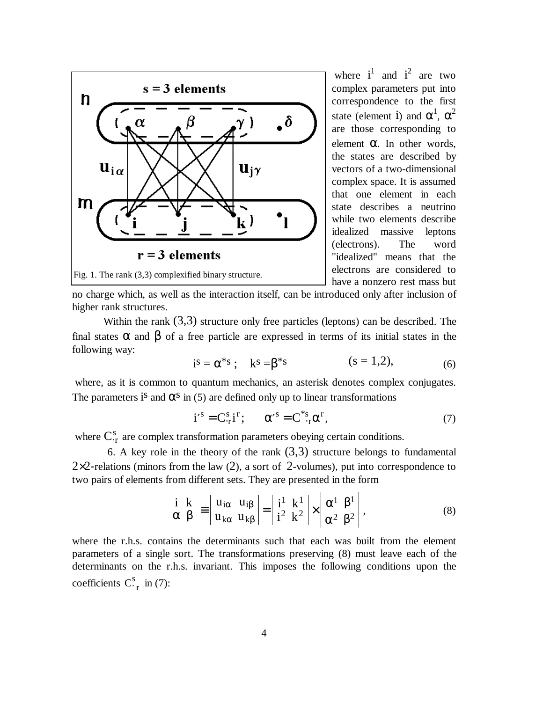

where  $i^1$  and  $i^2$  are two complex parameters put into correspondence to the first state (element i) and  $\alpha^1$ ,  $\alpha^2$ are those corresponding to element α. In other words, the states are described by vectors of a two-dimensional complex space. It is assumed that one element in each state describes a neutrino while two elements describe idealized massive leptons (electrons). The word "idealized" means that the electrons are considered to have a nonzero rest mass but

no charge which, as well as the interaction itself, can be introduced only after inclusion of higher rank structures.

Within the rank  $(3,3)$  structure only free particles (leptons) can be described. The final states  $\alpha$  and  $\beta$  of a free particle are expressed in terms of its initial states in the following way:

$$
i^{s} = \alpha^{*s} ; \quad k^{s} = \beta^{*s} \quad (s = 1, 2), \tag{6}
$$

where, as it is common to quantum mechanics, an asterisk denotes complex conjugates. The parameters is and  $\alpha$ <sup>s</sup> in (5) are defined only up to linear transformations

$$
i^{\prime s} = C_{\cdot r}^{s} i^{r}; \qquad \alpha^{\prime s} = C_{\cdot r}^{*s} \alpha^{r}, \qquad (7)
$$

where  $C_{\text{r}}^{\text{s}}$  $\frac{s}{r}$  are complex transformation parameters obeying certain conditions.

6. A key role in the theory of the rank  $(3,3)$  structure belongs to fundamental  $2\times2$ -relations (minors from the law (2), a sort of 2-volumes), put into correspondence to two pairs of elements from different sets. They are presented in the form

$$
\begin{bmatrix} \mathbf{i} & \mathbf{k} \\ \alpha & \beta \end{bmatrix} = \begin{vmatrix} \mathbf{u}_{i\alpha} & \mathbf{u}_{i\beta} \\ \mathbf{u}_{k\alpha} & \mathbf{u}_{k\beta} \end{vmatrix} = \begin{vmatrix} \mathbf{i}^1 & \mathbf{k}^1 \\ \mathbf{i}^2 & \mathbf{k}^2 \end{vmatrix} \times \begin{vmatrix} \alpha^1 & \beta^1 \\ \alpha^2 & \beta^2 \end{vmatrix},
$$
 (8)

where the r.h.s. contains the determinants such that each was built from the element parameters of a single sort. The transformations preserving (8) must leave each of the determinants on the r.h.s. invariant. This imposes the following conditions upon the coefficients C s  $\frac{s}{r}$  in (7):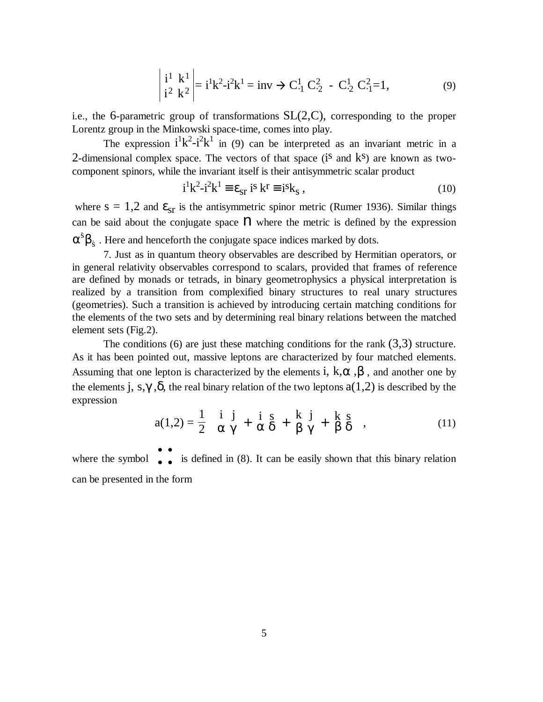$$
\begin{vmatrix} i^1 & k^1 \ i^2 & k^2 \end{vmatrix} = i^1 k^2 - i^2 k^1 = inv \to C^1_{-1} C^2_{-2} - C^1_{-2} C^2_{-1} = 1,
$$
 (9)

i.e., the 6-parametric group of transformations SL(2,C), corresponding to the proper Lorentz group in the Minkowski space-time, comes into play.

The expression  $i^1k^2-i^2k^1$  in (9) can be interpreted as an invariant metric in a 2-dimensional complex space. The vectors of that space  $(i<sup>s</sup>$  and  $k<sup>s</sup>)$  are known as twocomponent spinors, while the invariant itself is their antisymmetric scalar product

$$
i^{1}k^{2}-i^{2}k^{1} \equiv \varepsilon_{sr} \; i^{s} \; k^{r} \equiv i^{s}k_{s} \; , \tag{10}
$$

where  $s = 1,2$  and  $\epsilon_{sr}$  is the antisymmetric spinor metric (Rumer 1936). Similar things can be said about the conjugate space  $n$  where the metric is defined by the expression  $\alpha^s\beta$  ${}^{\rm s}$ <sup> $\rm R$ </sup> s. Here and henceforth the conjugate space indices marked by dots.

7. Just as in quantum theory observables are described by Hermitian operators, or in general relativity observables correspond to scalars, provided that frames of reference are defined by monads or tetrads, in binary geometrophysics a physical interpretation is realized by a transition from complexified binary structures to real unary structures (geometries). Such a transition is achieved by introducing certain matching conditions for the elements of the two sets and by determining real binary relations between the matched element sets (Fig.2).

The conditions (6) are just these matching conditions for the rank  $(3,3)$  structure. As it has been pointed out, massive leptons are characterized by four matched elements. Assuming that one lepton is characterized by the elements i,  $k, \alpha, \beta$ , and another one by the elements j, s,  $\gamma$ ,  $\delta$ , the real binary relation of the two leptons  $a(1,2)$  is described by the expression

$$
a(1,2) = \frac{1}{2} \left( \begin{bmatrix} i & j \\ \alpha & \gamma \end{bmatrix} + \begin{bmatrix} i & s \\ \alpha & \delta \end{bmatrix} + \begin{bmatrix} k & j \\ \beta & \gamma \end{bmatrix} + \begin{bmatrix} k & s \\ \beta & \delta \end{bmatrix} \right),
$$
(11)

where the symbol  $\begin{bmatrix} \bullet & \bullet \\ \bullet & \bullet \end{bmatrix}$ • • Į  $\lfloor$  $\overline{\phantom{a}}$  $\int$  is defined in (8). It can be easily shown that this binary relation can be presented in the form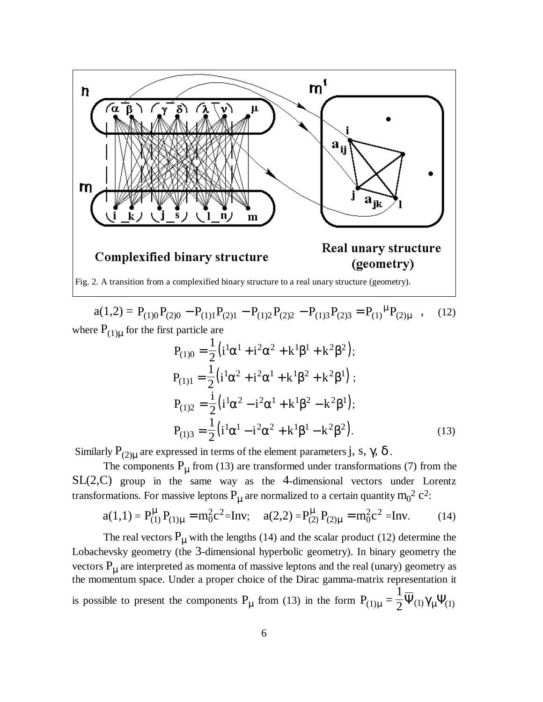

 $a(1,2) = P_{(1)0}P_{(2)0} - P_{(1)1}P_{(2)1} - P_{(1)2}P_{(2)2} - P_{(1)3}P_{(2)3} = P_{(1)}^{\mu}P_{(2)}$ µ  $(12)$ where  $P_{(1)\mu}$  for the first particle are

$$
P_{(1)0} = \frac{1}{2} (i^1 \alpha^1 + i^2 \alpha^2 + k^1 \beta^1 + k^2 \beta^2);
$$
  
\n
$$
P_{(1)1} = \frac{1}{2} (i^1 \alpha^2 + i^2 \alpha^1 + k^1 \beta^2 + k^2 \beta^1);
$$
  
\n
$$
P_{(1)2} = \frac{i}{2} (i^1 \alpha^2 - i^2 \alpha^1 + k^1 \beta^2 - k^2 \beta^1);
$$
  
\n
$$
P_{(1)3} = \frac{1}{2} (i^1 \alpha^1 - i^2 \alpha^2 + k^1 \beta^1 - k^2 \beta^2).
$$
 (13)

Similarly  $\mathrm{P_{(2)\mu}}$  are expressed in terms of the element parameters j, s,  $\gamma, \, \delta$  .

The components  $P_{\mu}$  from (13) are transformed under transformations (7) from the SL(2,C) group in the same way as the 4-dimensional vectors under Lorentz transformations. For massive leptons  $P_{\mu}$  are normalized to a certain quantity  $m_0^2$  c<sup>2</sup>:

$$
a(1,1) = P_{(1)}^{\mu} P_{(1)\mu} = m_0^2 c^2 = Inv; \quad a(2,2) = P_{(2)}^{\mu} P_{(2)\mu} = m_0^2 c^2 = Inv.
$$
 (14)

The real vectors  $P_{\mu}$  with the lengths (14) and the scalar product (12) determine the Lobachevsky geometry (the 3-dimensional hyperbolic geometry). In binary geometry the vectors  $P_{\mu}$  are interpreted as momenta of massive leptons and the real (unary) geometry as the momentum space. Under a proper choice of the Dirac gamma-matrix representation it is possible to present the components  $P_{\mu}$  from (13) in the form  $P_{(1)\mu}$  = 1  $Q_{(1)\mu} = \frac{1}{2} \Psi_{(1)} \gamma_{\mu} \Psi_{(1)}$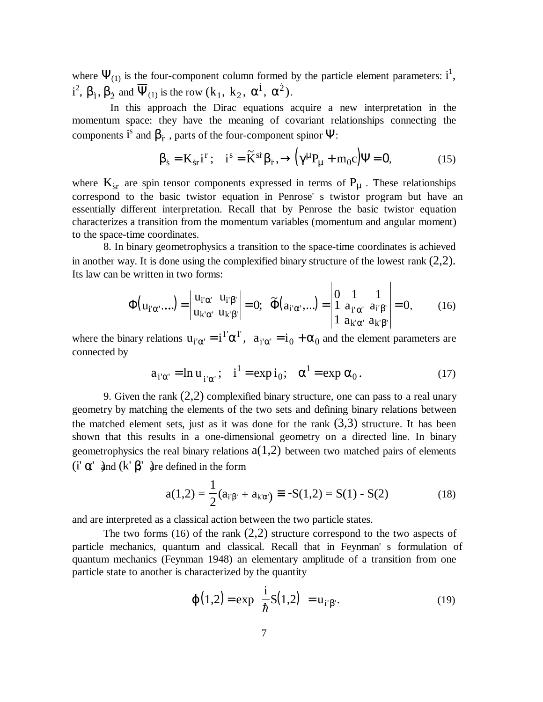where  $\Psi_{(1)}$  is the four-component column formed by the particle element parameters:  $i^1$ , i<sup>2</sup>,  $\beta_1$ ,  $\beta_2$  and  $\overline{\Psi}_{(1)}$  is the row  $(k_1, k_2, \alpha^1, \alpha^2)$ .

In this approach the Dirac equations acquire a new interpretation in the momentum space: they have the meaning of covariant relationships connecting the components  $i^s$  and  $\beta_f$  , parts of the four-component spinor  $\Psi$ :

$$
\beta_{s} = K_{sr} i^{r} ; \quad i^{s} = \widetilde{K}^{sr} \beta_{r}, \rightarrow (\gamma^{\mu} P_{\mu} + m_{0} c) \Psi = 0, \tag{15}
$$

where  $K_{sr}$  are spin tensor components expressed in terms of  $P_{\mu}$  . These relationships correspond to the basic twistor equation in Penrose' s twistor program but have an essentially different interpretation. Recall that by Penrose the basic twistor equation characterizes a transition from the momentum variables (momentum and angular moment) to the space-time coordinates.

8. In binary geometrophysics a transition to the space-time coordinates is achieved in another way. It is done using the complexified binary structure of the lowest rank  $(2,2)$ . Its law can be written in two forms:  $\overline{1}$  $\overline{1}$ 

$$
\Phi(\mathbf{u}_{i'\alpha'},\ldots) = \begin{vmatrix} \mathbf{u}_{i'\alpha'} & \mathbf{u}_{i'\beta'} \\ \mathbf{u}_{k'\alpha'} & \mathbf{u}_{k'\beta'} \end{vmatrix} = 0; \quad \widetilde{\Phi}(\mathbf{a}_{i'\alpha'},\ldots) = \begin{vmatrix} 0 & 1 & 1 \\ 1 & a_{i'\alpha'} & a_{i'\beta'} \\ 1 & a_{k'\alpha'} & a_{k'\beta'} \end{vmatrix} = 0,
$$
 (16)

where the binary relations  $u_{i'\alpha'} = i^{\dagger'} \alpha^{\dagger}$ ,  $a_{i'\alpha'} = i$  $\alpha' = i^{1'} \alpha^{1'}$ ,  $a_{i' \alpha'} = i_0 + \alpha_0$  and the element parameters are connected by

$$
a_{i'\alpha'} = \ln u_{i'\alpha'}; \quad i^1 = \exp i_0; \quad \alpha^1 = \exp \alpha_0. \tag{17}
$$

9. Given the rank  $(2,2)$  complexified binary structure, one can pass to a real unary geometry by matching the elements of the two sets and defining binary relations between the matched element sets, just as it was done for the rank  $(3,3)$  structure. It has been shown that this results in a one-dimensional geometry on a directed line. In binary geometrophysics the real binary relations  $a(1,2)$  between two matched pairs of elements (i'  $\alpha'$  and (k'  $\beta'$  are defined in the form

$$
a(1,2) = \frac{1}{2}(a_{i'\beta'} + a_{k'\alpha'}) \equiv -S(1,2) = S(1) - S(2)
$$
 (18)

and are interpreted as a classical action between the two particle states.

The two forms (16) of the rank  $(2,2)$  structure correspond to the two aspects of particle mechanics, quantum and classical. Recall that in Feynman' s formulation of quantum mechanics (Feynman 1948) an elementary amplitude of a transition from one particle state to another is characterized by the quantity

$$
\varphi(1,2) = \exp\left[\frac{i}{\hbar}S(1,2)\right] = u_{i'\beta'}.
$$
\n(19)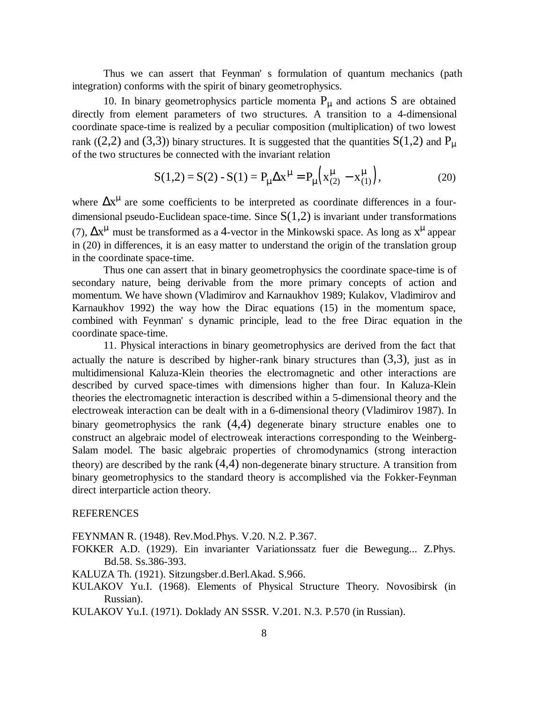Thus we can assert that Feynman' s formulation of quantum mechanics (path integration) conforms with the spirit of binary geometrophysics.

10. In binary geometrophysics particle momenta  $P_{\mu}$  and actions S are obtained directly from element parameters of two structures. A transition to a 4-dimensional coordinate space-time is realized by a peculiar composition (multiplication) of two lowest rank ((2,2) and (3,3)) binary structures. It is suggested that the quantities  $S(1,2)$  and  $P_{\mu}$ of the two structures be connected with the invariant relation

$$
S(1,2) = S(2) - S(1) = P_{\mu} \Delta x^{\mu} = P_{\mu} \left( x_{(2)}^{\mu} - x_{(1)}^{\mu} \right),
$$
 (20)

where  $\Delta x^{\mu}$  are some coefficients to be interpreted as coordinate differences in a fourdimensional pseudo-Euclidean space-time. Since  $S(1,2)$  is invariant under transformations (7),  $\Delta x^{\mu}$  must be transformed as a 4-vector in the Minkowski space. As long as  $x^{\mu}$  appear in (20) in differences, it is an easy matter to understand the origin of the translation group in the coordinate space-time.

Thus one can assert that in binary geometrophysics the coordinate space-time is of secondary nature, being derivable from the more primary concepts of action and momentum. We have shown (Vladimirov and Karnaukhov 1989; Kulakov, Vladimirov and Karnaukhov 1992) the way how the Dirac equations (15) in the momentum space, combined with Feynman' s dynamic principle, lead to the free Dirac equation in the coordinate space-time.

11. Physical interactions in binary geometrophysics are derived from the fact that actually the nature is described by higher-rank binary structures than  $(3,3)$ , just as in multidimensional Kaluza-Klein theories the electromagnetic and other interactions are described by curved space-times with dimensions higher than four. In Kaluza-Klein theories the electromagnetic interaction is described within a 5-dimensional theory and the electroweak interaction can be dealt with in a 6-dimensional theory (Vladimirov 1987). In binary geometrophysics the rank (4,4) degenerate binary structure enables one to construct an algebraic model of electroweak interactions corresponding to the Weinberg-Salam model. The basic algebraic properties of chromodynamics (strong interaction theory) are described by the rank  $(4,4)$  non-degenerate binary structure. A transition from binary geometrophysics to the standard theory is accomplished via the Fokker-Feynman direct interparticle action theory.

## **REFERENCES**

FEYNMAN R. (1948). Rev.Mod.Phys. V.20. N.2. P.367.

- FOKKER A.D. (1929). Ein invarianter Variationssatz fuer die Bewegung... Z.Phys. Bd.58. Ss.386-393.
- KALUZA Th. (1921). Sitzungsber.d.Berl.Akad. S.966.
- KULAKOV Yu.I. (1968). Elements of Physical Structure Theory. Novosibirsk (in Russian).

KULAKOV Yu.I. (1971). Doklady AN SSSR. V.201. N.3. P.570 (in Russian).